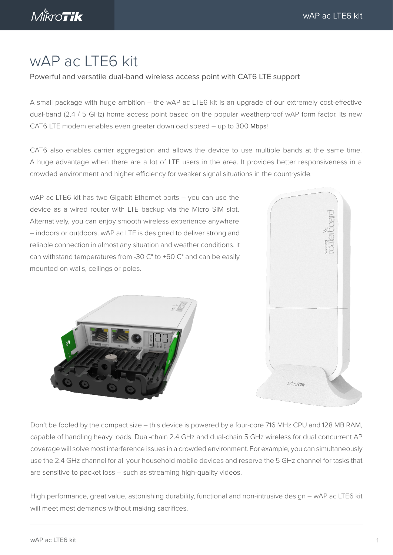$M\overset{\&}{\phantom{\mathcal{K}}}\nabla T$ ik

# wAP ac LTE6 kit

#### Powerful and versatile dual-band wireless access point with CAT6 LTE support

A small package with huge ambition – the wAP ac LTE6 kit is an upgrade of our extremely cost-effective dual-band (2.4 / 5 GHz) home access point based on the popular weatherproof wAP form factor. Its new CAT6 LTE modem enables even greater download speed – up to 300 Mbps!

CAT6 also enables carrier aggregation and allows the device to use multiple bands at the same time. A huge advantage when there are a lot of LTE users in the area. It provides better responsiveness in a crowded environment and higher efficiency for weaker signal situations in the countryside.

wAP ac LTE6 kit has two Gigabit Ethernet ports – you can use the device as a wired router with LTE backup via the Micro SIM slot. Alternatively, you can enjoy smooth wireless experience anywhere – indoors or outdoors. wAP ac LTE is designed to deliver strong and reliable connection in almost any situation and weather conditions. It can withstand temperatures from -30 C° to +60 C° and can be easily mounted on walls, ceilings or poles.





Don't be fooled by the compact size – this device is powered by a four-core 716 MHz CPU and 128 MB RAM, capable of handling heavy loads. Dual-chain 2.4 GHz and dual-chain 5 GHz wireless for dual concurrent AP coverage will solve most interference issues in a crowded environment. For example, you can simultaneously use the 2.4 GHz channel for all your household mobile devices and reserve the 5 GHz channel for tasks that are sensitive to packet loss – such as streaming high-quality videos.

High performance, great value, astonishing durability, functional and non-intrusive design – wAP ac LTE6 kit will meet most demands without making sacrifices.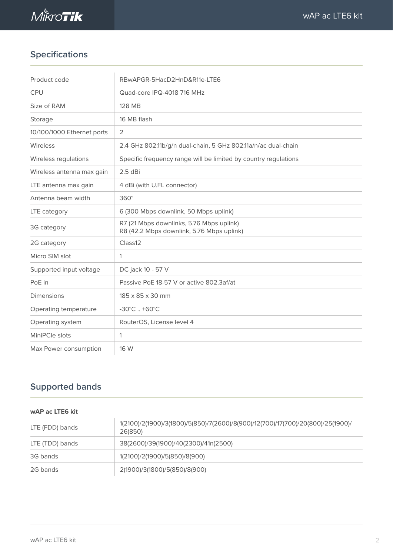

# **Specifications**

| Product code               | RBwAPGR-5HacD2HnD&R11e-LTE6                                                           |  |  |  |
|----------------------------|---------------------------------------------------------------------------------------|--|--|--|
| <b>CPU</b>                 | Quad-core IPQ-4018 716 MHz                                                            |  |  |  |
| Size of RAM                | 128 MB                                                                                |  |  |  |
| Storage                    | 16 MB flash                                                                           |  |  |  |
| 10/100/1000 Ethernet ports | 2                                                                                     |  |  |  |
| Wireless                   | 2.4 GHz 802.11b/g/n dual-chain, 5 GHz 802.11a/n/ac dual-chain                         |  |  |  |
| Wireless regulations       | Specific frequency range will be limited by country regulations                       |  |  |  |
| Wireless antenna max gain  | $2.5$ dBi                                                                             |  |  |  |
| LTE antenna max gain       | 4 dBi (with U.FL connector)                                                           |  |  |  |
| Antenna beam width         | $360^\circ$                                                                           |  |  |  |
| LTE category               | 6 (300 Mbps downlink, 50 Mbps uplink)                                                 |  |  |  |
| 3G category                | R7 (21 Mbps downlinks, 5.76 Mbps uplink)<br>R8 (42.2 Mbps downlink, 5.76 Mbps uplink) |  |  |  |
| 2G category                | Class12                                                                               |  |  |  |
| Micro SIM slot             | 1                                                                                     |  |  |  |
| Supported input voltage    | DC jack 10 - 57 V                                                                     |  |  |  |
| PoE in                     | Passive PoE 18-57 V or active 802.3af/at                                              |  |  |  |
| <b>Dimensions</b>          | 185 x 85 x 30 mm                                                                      |  |  |  |
| Operating temperature      | $-30^{\circ}$ C. $+60^{\circ}$ C                                                      |  |  |  |
| Operating system           | RouterOS, License level 4                                                             |  |  |  |
| MiniPCle slots             | 1                                                                                     |  |  |  |
| Max Power consumption      | 16 W                                                                                  |  |  |  |

# **Supported bands**

#### **wAP ac LTE6 kit**

| LTE (FDD) bands | 1(2100)/2(1900)/3(1800)/5(850)/7(2600)/8(900)/12(700)/17(700)/20(800)/25(1900)/<br>26(850) |  |  |
|-----------------|--------------------------------------------------------------------------------------------|--|--|
| LTE (TDD) bands | 38(2600)/39(1900)/40(2300)/41n(2500)                                                       |  |  |
| 3G bands        | 1(2100)/2(1900)/5(850)/8(900)                                                              |  |  |
| 2G bands        | 2(1900)/3(1800)/5(850)/8(900)                                                              |  |  |